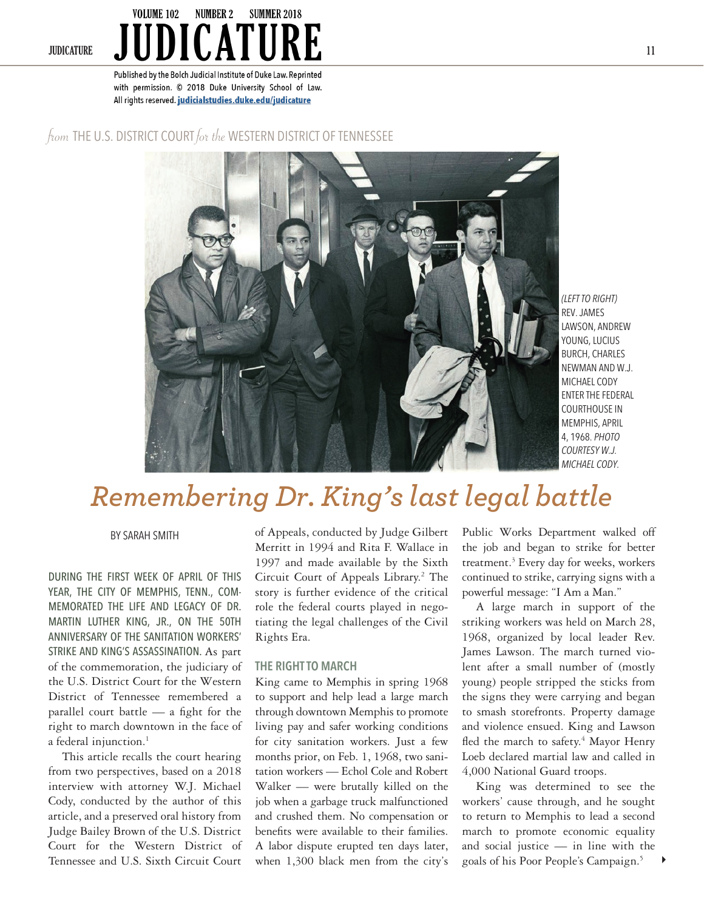### VOLUME 102 **NUMBER 2 SUMMER 2018 JUDICATURE 11**

Published by the Bolch Judicial Institute of Duke Law. Reprinted with permission. @ 2018 Duke University School of Law. All rights reserved. judicialstudies.duke.edu/judicature

## from THE U.S. DISTRICT COURT for the WESTERN DISTRICT OF TENNESSEE



*(LEFT TO RIGHT)*  REV. JAMES LAWSON, ANDREW YOUNG, LUCIUS BURCH, CHARLES NEWMAN AND W.J. MICHAEL CODY ENTER THE FEDERAL COURTHOUSE IN MEMPHIS, APRIL 4, 1968. *PHOTO COURTESY W.J. MICHAEL CODY.*

# *Remembering Dr. King's last legal battle*

BY SARAH SMITH

DURING THE FIRST WEEK OF APRIL OF THIS YEAR, THE CITY OF MEMPHIS, TENN., COM-MEMORATED THE LIFE AND LEGACY OF DR. MARTIN LUTHER KING, JR., ON THE 50TH ANNIVERSARY OF THE SANITATION WORKERS' STRIKE AND KING'S ASSASSINATION. As part of the commemoration, the judiciary of the U.S. District Court for the Western District of Tennessee remembered a parallel court battle — a fight for the right to march downtown in the face of a federal injunction.<sup>1</sup>

This article recalls the court hearing from two perspectives, based on a 2018 interview with attorney W.J. Michael Cody, conducted by the author of this article, and a preserved oral history from Judge Bailey Brown of the U.S. District Court for the Western District of Tennessee and U.S. Sixth Circuit Court

of Appeals, conducted by Judge Gilbert Merritt in 1994 and Rita F. Wallace in 1997 and made available by the Sixth Circuit Court of Appeals Library.<sup>2</sup> The story is further evidence of the critical role the federal courts played in negotiating the legal challenges of the Civil Rights Era.

### **THE RIGHT TO MARCH**

King came to Memphis in spring 1968 to support and help lead a large march through downtown Memphis to promote living pay and safer working conditions for city sanitation workers. Just a few months prior, on Feb. 1, 1968, two sanitation workers — Echol Cole and Robert Walker — were brutally killed on the job when a garbage truck malfunctioned and crushed them. No compensation or benefits were available to their families. A labor dispute erupted ten days later, when 1,300 black men from the city's

Public Works Department walked off the job and began to strike for better treatment.<sup>3</sup> Every day for weeks, workers continued to strike, carrying signs with a powerful message: "I Am a Man."

A large march in support of the striking workers was held on March 28, 1968, organized by local leader Rev. James Lawson. The march turned violent after a small number of (mostly young) people stripped the sticks from the signs they were carrying and began to smash storefronts. Property damage and violence ensued. King and Lawson fled the march to safety.<sup>4</sup> Mayor Henry Loeb declared martial law and called in 4,000 National Guard troops.

 $\blacktriangleright$ King was determined to see the workers' cause through, and he sought to return to Memphis to lead a second march to promote economic equality and social justice — in line with the goals of his Poor People's Campaign.<sup>5</sup>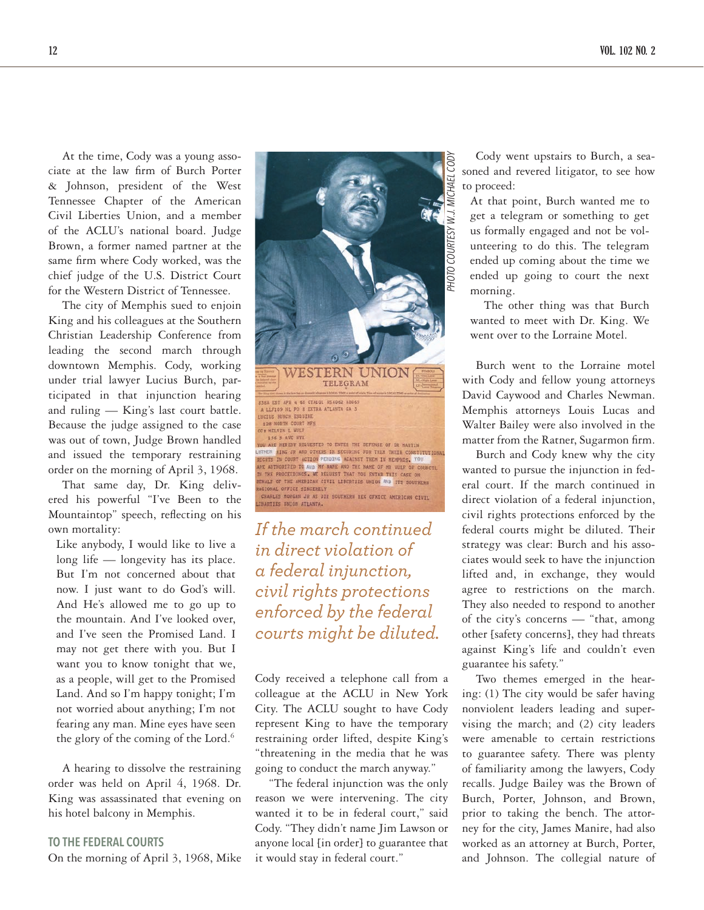At the time, Cody was a young associate at the law firm of Burch Porter & Johnson, president of the West Tennessee Chapter of the American Civil Liberties Union, and a member of the ACLU's national board. Judge Brown, a former named partner at the same firm where Cody worked, was the chief judge of the U.S. District Court for the Western District of Tennessee.

The city of Memphis sued to enjoin King and his colleagues at the Southern Christian Leadership Conference from leading the second march through downtown Memphis. Cody, working under trial lawyer Lucius Burch, participated in that injunction hearing and ruling — King's last court battle. Because the judge assigned to the case was out of town, Judge Brown handled and issued the temporary restraining order on the morning of April 3, 1968.

That same day, Dr. King delivered his powerful "I've Been to the Mountaintop" speech, reflecting on his own mortality:

Like anybody, I would like to live a long life — longevity has its place. But I'm not concerned about that now. I just want to do God's will. And He's allowed me to go up to the mountain. And I've looked over, and I've seen the Promised Land. I may not get there with you. But I want you to know tonight that we, as a people, will get to the Promised Land. And so I'm happy tonight; I'm not worried about anything; I'm not fearing any man. Mine eyes have seen the glory of the coming of the Lord.<sup>6</sup>

A hearing to dissolve the restraining order was held on April 4, 1968. Dr. King was assassinated that evening on his hotel balcony in Memphis.

# **TO THE FEDERAL COURTS**

On the morning of April 3, 1968, Mike



*If the march continued in direct violation of a federal injunction, civil rights protections enforced by the federal courts might be diluted.*

Cody received a telephone call from a colleague at the ACLU in New York City. The ACLU sought to have Cody represent King to have the temporary restraining order lifted, despite King's "threatening in the media that he was going to conduct the march anyway."

"The federal injunction was the only reason we were intervening. The city wanted it to be in federal court," said Cody. "They didn't name Jim Lawson or anyone local [in order] to guarantee that it would stay in federal court."

Cody went upstairs to Burch, a seasoned and revered litigator, to see how to proceed:

At that point, Burch wanted me to get a telegram or something to get us formally engaged and not be volunteering to do this. The telegram ended up coming about the time we ended up going to court the next morning.

The other thing was that Burch wanted to meet with Dr. King. We went over to the Lorraine Motel.

Burch went to the Lorraine motel with Cody and fellow young attorneys David Caywood and Charles Newman. Memphis attorneys Louis Lucas and Walter Bailey were also involved in the matter from the Ratner, Sugarmon firm.

Burch and Cody knew why the city wanted to pursue the injunction in federal court. If the march continued in direct violation of a federal injunction, civil rights protections enforced by the federal courts might be diluted. Their strategy was clear: Burch and his associates would seek to have the injunction lifted and, in exchange, they would agree to restrictions on the march. They also needed to respond to another of the city's concerns — "that, among other [safety concerns], they had threats against King's life and couldn't even guarantee his safety."

Two themes emerged in the hearing: (1) The city would be safer having nonviolent leaders leading and supervising the march; and (2) city leaders were amenable to certain restrictions to guarantee safety. There was plenty of familiarity among the lawyers, Cody recalls. Judge Bailey was the Brown of Burch, Porter, Johnson, and Brown, prior to taking the bench. The attorney for the city, James Manire, had also worked as an attorney at Burch, Porter, and Johnson. The collegial nature of